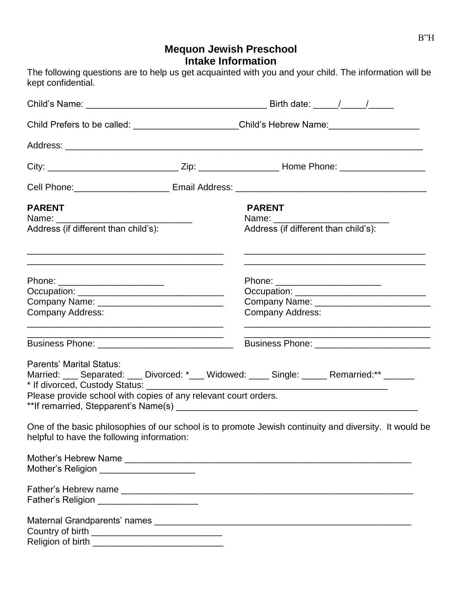# **Mequon Jewish Preschool Intake Information**

The following questions are to help us get acquainted with you and your child. The information will be

|                                                                                                                                                                                            | Child Prefers to be called: ______________________Child's Hebrew Name: _____________________________                                                                                                                                                                                                  |  |  |
|--------------------------------------------------------------------------------------------------------------------------------------------------------------------------------------------|-------------------------------------------------------------------------------------------------------------------------------------------------------------------------------------------------------------------------------------------------------------------------------------------------------|--|--|
|                                                                                                                                                                                            |                                                                                                                                                                                                                                                                                                       |  |  |
|                                                                                                                                                                                            |                                                                                                                                                                                                                                                                                                       |  |  |
|                                                                                                                                                                                            |                                                                                                                                                                                                                                                                                                       |  |  |
| <b>PARENT</b><br>Name: _______<br>Address (if different than child's):<br>and the control of the control of the control of the control of the control of the control of the control of the | <b>PARENT</b><br>Name: Name:<br>Address (if different than child's):<br>the control of the control of the control of the control of the control of the control of the control of the control of the control of the control of the control of the control of the control of the control of the control |  |  |
| Phone: ________________________<br><b>Company Address:</b>                                                                                                                                 | Phone: ________________________<br>Occupation: <u>________________________________</u><br><b>Company Address:</b>                                                                                                                                                                                     |  |  |
|                                                                                                                                                                                            |                                                                                                                                                                                                                                                                                                       |  |  |
| Parents' Marital Status:<br>Please provide school with copies of any relevant court orders.                                                                                                | Married: ___ Separated: ___ Divorced: *___ Widowed: ____ Single: _____ Remarried:** _____                                                                                                                                                                                                             |  |  |
| helpful to have the following information:                                                                                                                                                 | One of the basic philosophies of our school is to promote Jewish continuity and diversity. It would be                                                                                                                                                                                                |  |  |
| Mother's Religion _______________________                                                                                                                                                  |                                                                                                                                                                                                                                                                                                       |  |  |
| Father's Religion ___________________________                                                                                                                                              |                                                                                                                                                                                                                                                                                                       |  |  |
|                                                                                                                                                                                            |                                                                                                                                                                                                                                                                                                       |  |  |

| Country of birth  |  |
|-------------------|--|
| Religion of birth |  |

kept confidential.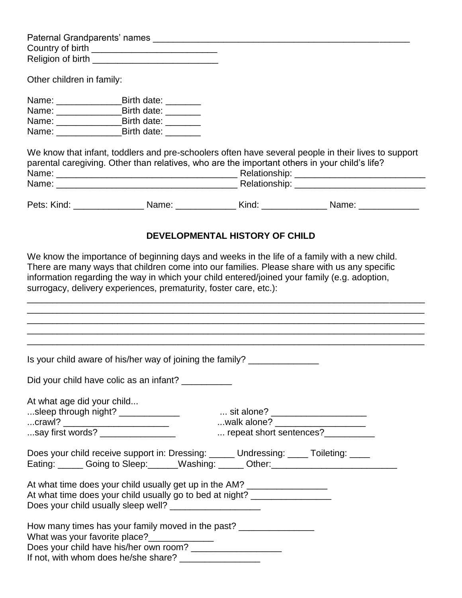|                            | Country of birth _______________________________                                                                                                                                                                                    |                                |                                                                                                           |
|----------------------------|-------------------------------------------------------------------------------------------------------------------------------------------------------------------------------------------------------------------------------------|--------------------------------|-----------------------------------------------------------------------------------------------------------|
|                            |                                                                                                                                                                                                                                     |                                |                                                                                                           |
| Other children in family:  |                                                                                                                                                                                                                                     |                                |                                                                                                           |
|                            | Name: ________________________Birth date: __________                                                                                                                                                                                |                                |                                                                                                           |
|                            | Name: _______________________Birth date: _________                                                                                                                                                                                  |                                |                                                                                                           |
|                            | Name: _________________________Birth date: __________                                                                                                                                                                               |                                |                                                                                                           |
|                            | Name: Birth date:                                                                                                                                                                                                                   |                                |                                                                                                           |
|                            | parental caregiving. Other than relatives, who are the important others in your child's life?                                                                                                                                       |                                | We know that infant, toddlers and pre-schoolers often have several people in their lives to support       |
|                            |                                                                                                                                                                                                                                     |                                | Pets: Kind: _____________________Name: __________________Kind: ____________________Name: ________________ |
|                            |                                                                                                                                                                                                                                     | DEVELOPMENTAL HISTORY OF CHILD |                                                                                                           |
|                            | surrogacy, delivery experiences, prematurity, foster care, etc.):<br>,我们也不能在这里的时候,我们也不能在这里的时候,我们也不能不能在这里的时候,我们也不能不能不能会不能会不能会不能会不能会不能会不能会不能会不能会不能会不能会不                                                                               |                                | <u> 1989 - Johann Stoff, amerikansk politiker (d. 1989)</u>                                               |
|                            | Is your child aware of his/her way of joining the family? _____________                                                                                                                                                             |                                |                                                                                                           |
|                            | Did your child have colic as an infant? __________                                                                                                                                                                                  |                                |                                                                                                           |
| At what age did your child |                                                                                                                                                                                                                                     |                                |                                                                                                           |
|                            |                                                                                                                                                                                                                                     |                                |                                                                                                           |
|                            | crawl? ________________________                                                                                                                                                                                                     |                                |                                                                                                           |
|                            |                                                                                                                                                                                                                                     |                                | repeat short sentences?___________                                                                        |
|                            | Does your child receive support in: Dressing: _____ Undressing: ____ Toileting: ____                                                                                                                                                |                                | Eating: Coing to Sleep: Washing: _____ Other: Other: ___________________________                          |
|                            | At what time does your child usually get up in the AM? _________________________<br>At what time does your child usually go to bed at night? _______________________<br>Does your child usually sleep well? _______________________ |                                |                                                                                                           |
|                            | How many times has your family moved in the past? __________________<br>What was your favorite place?______________<br>If not, with whom does he/she share? ____________________                                                    |                                |                                                                                                           |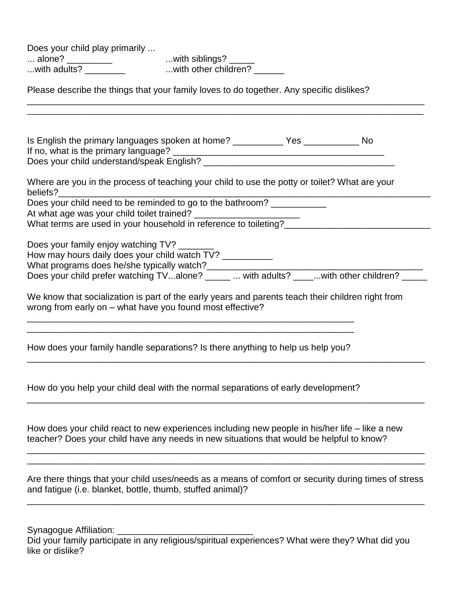Does your child play primarily ...

... alone? \_\_\_\_\_\_\_\_\_\_\_\_ ...with siblings? \_\_\_\_\_ ...with adults? \_\_\_\_\_\_\_\_\_\_\_ ...with other children? \_\_\_\_\_\_

Please describe the things that your family loves to do together. Any specific dislikes?

| Where are you in the process of teaching your child to use the potty or toilet? What are your<br>beliefs?<br>Does your child need to be reminded to go to the bathroom?<br>What terms are used in your household in reference to toileting? |
|---------------------------------------------------------------------------------------------------------------------------------------------------------------------------------------------------------------------------------------------|
| Does your family enjoy watching TV?<br>How may hours daily does your child watch TV? ___________<br>What programs does he/she typically watch?<br>Does your child prefer watching TValone? _____  with adults? ____with other children? ___ |
| We know that socialization is part of the early years and parents teach their children right from<br>wrong from early on - what have you found most effective?                                                                              |
| How does your family handle separations? Is there anything to help us help you?                                                                                                                                                             |
| How do you help your child deal with the normal separations of early development?                                                                                                                                                           |
| How does your child react to new experiences including new people in his/her life – like a new<br>teacher? Does your child have any needs in new situations that would be helpful to know?                                                  |
| Are there things that your child uses/needs as a means of comfort or security during times of stress<br>and fatigue (i.e. blanket, bottle, thumb, stuffed animal)?                                                                          |
|                                                                                                                                                                                                                                             |

Synagogue Affiliation: \_\_\_\_\_\_\_\_\_\_\_\_\_\_\_\_\_\_\_\_\_\_\_\_\_\_\_

Did your family participate in any religious/spiritual experiences? What were they? What did you like or dislike?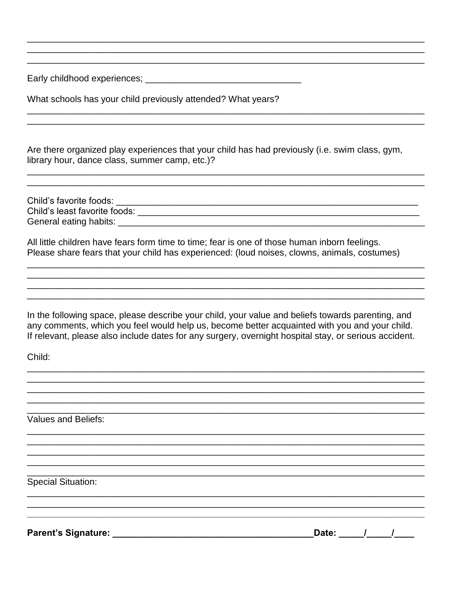What schools has your child previously attended? What years?

Are there organized play experiences that your child has had previously (i.e. swim class, gym, library hour, dance class, summer camp, etc.)?

All little children have fears form time to time; fear is one of those human inborn feelings. Please share fears that your child has experienced: (loud noises, clowns, animals, costumes)

In the following space, please describe your child, your value and beliefs towards parenting, and any comments, which you feel would help us, become better acquainted with you and your child. If relevant, please also include dates for any surgery, overnight hospital stay, or serious accident.

Child:

Values and Beliefs:

**Special Situation:**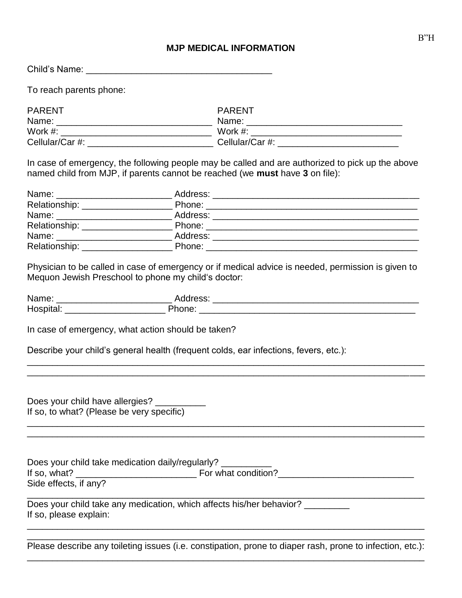#### **MJP MEDICAL INFORMATION**

Child's Name: \_\_\_\_\_\_\_\_\_\_\_\_\_\_\_\_\_\_\_\_\_\_\_\_\_\_\_\_\_\_\_\_\_\_\_\_\_

To reach parents phone:

| <b>PARENT</b>   | PARENT          |
|-----------------|-----------------|
| Name:           | Name:           |
| Work $#$ :      | Work $#$ :      |
| Cellular/Car #: | Cellular/Car #: |

In case of emergency, the following people may be called and are authorized to pick up the above named child from MJP, if parents cannot be reached (we **must** have **3** on file):

|                                                                                         | Physician to be called in case of emergency or if medical advice is needed, permission is given to<br>Mequon Jewish Preschool to phone my child's doctor: |  |
|-----------------------------------------------------------------------------------------|-----------------------------------------------------------------------------------------------------------------------------------------------------------|--|
|                                                                                         |                                                                                                                                                           |  |
|                                                                                         |                                                                                                                                                           |  |
|                                                                                         | In case of emergency, what action should be taken?<br>Describe your child's general health (frequent colds, ear infections, fevers, etc.):                |  |
| Does your child have allergies? __________<br>If so, to what? (Please be very specific) |                                                                                                                                                           |  |
| Side effects, if any?                                                                   | Does your child take medication daily/regularly? ________                                                                                                 |  |
| If so, please explain:                                                                  | Does your child take any medication, which affects his/her behavior? __________                                                                           |  |
|                                                                                         | Please describe any toileting issues (i.e. constipation, prone to diaper rash, prone to infection, etc.):                                                 |  |

\_\_\_\_\_\_\_\_\_\_\_\_\_\_\_\_\_\_\_\_\_\_\_\_\_\_\_\_\_\_\_\_\_\_\_\_\_\_\_\_\_\_\_\_\_\_\_\_\_\_\_\_\_\_\_\_\_\_\_\_\_\_\_\_\_\_\_\_\_\_\_\_\_\_\_\_\_\_\_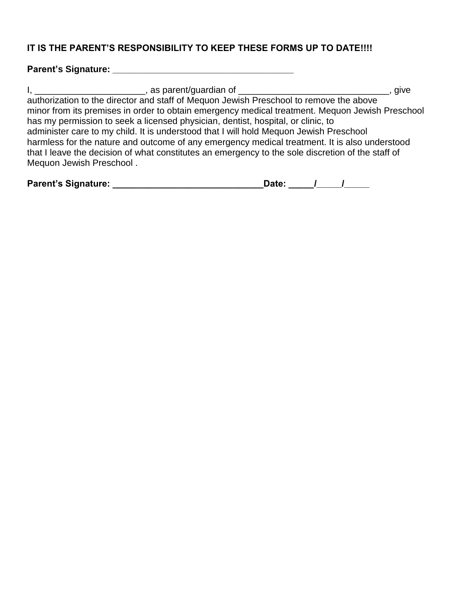## **IT IS THE PARENT'S RESPONSIBILITY TO KEEP THESE FORMS UP TO DATE!!!!**

## **Parent's Signature: \_\_\_\_\_\_\_\_\_\_\_\_\_\_\_\_\_\_\_\_\_\_\_\_\_\_\_\_\_\_\_\_\_\_\_\_**

| _______________________, as parent/guardian of _________________________________                  | , give |
|---------------------------------------------------------------------------------------------------|--------|
| authorization to the director and staff of Mequon Jewish Preschool to remove the above            |        |
| minor from its premises in order to obtain emergency medical treatment. Mequon Jewish Preschool   |        |
| has my permission to seek a licensed physician, dentist, hospital, or clinic, to                  |        |
| administer care to my child. It is understood that I will hold Mequon Jewish Preschool            |        |
| harmless for the nature and outcome of any emergency medical treatment. It is also understood     |        |
| that I leave the decision of what constitutes an emergency to the sole discretion of the staff of |        |
| Mequon Jewish Preschool.                                                                          |        |

| <b>Parent's Signature:</b> | Date: |  |  |  |
|----------------------------|-------|--|--|--|
|----------------------------|-------|--|--|--|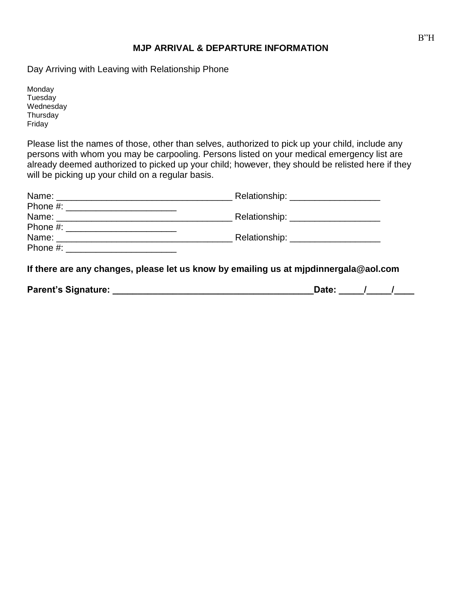#### **MJP ARRIVAL & DEPARTURE INFORMATION**

Day Arriving with Leaving with Relationship Phone

Monday **Tuesday** Wednesday **Thursday** Friday

Please list the names of those, other than selves, authorized to pick up your child, include any persons with whom you may be carpooling. Persons listed on your medical emergency list are already deemed authorized to picked up your child; however, they should be relisted here if they will be picking up your child on a regular basis.

| Relationship: _____________________                                                  |
|--------------------------------------------------------------------------------------|
|                                                                                      |
| Relationship: ______________________                                                 |
|                                                                                      |
| Relationship: _____________________                                                  |
|                                                                                      |
| If there are any abanges, please let us know by emailing us of mindingersals@aol.com |

**If there are any changes, please let us know by emailing us at mjpdinnergala@aol.com**

| <b>Parent's Signature:</b> |  |  |  |  |
|----------------------------|--|--|--|--|
|----------------------------|--|--|--|--|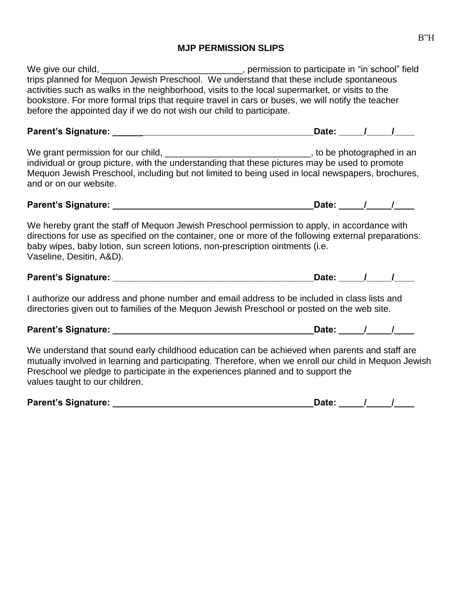## **MJP PERMISSION SLIPS**

| We give our child, _________________________________, permission to participate in "in school" field<br>trips planned for Mequon Jewish Preschool. We understand that these include spontaneous<br>activities such as walks in the neighborhood, visits to the local supermarket, or visits to the<br>bookstore. For more formal trips that require travel in cars or buses, we will notify the teacher<br>before the appointed day if we do not wish our child to participate. |                           |  |
|---------------------------------------------------------------------------------------------------------------------------------------------------------------------------------------------------------------------------------------------------------------------------------------------------------------------------------------------------------------------------------------------------------------------------------------------------------------------------------|---------------------------|--|
|                                                                                                                                                                                                                                                                                                                                                                                                                                                                                 |                           |  |
| We grant permission for our child, __________________________________, to be photographed in an<br>individual or group picture, with the understanding that these pictures may be used to promote<br>Mequon Jewish Preschool, including but not limited to being used in local newspapers, brochures,<br>and or on our website.                                                                                                                                                 |                           |  |
|                                                                                                                                                                                                                                                                                                                                                                                                                                                                                 | Date: _____/_____/____    |  |
| We hereby grant the staff of Mequon Jewish Preschool permission to apply, in accordance with<br>directions for use as specified on the container, one or more of the following external preparations:<br>baby wipes, baby lotion, sun screen lotions, non-prescription ointments (i.e.<br>Vaseline, Desitin, A&D).                                                                                                                                                              |                           |  |
|                                                                                                                                                                                                                                                                                                                                                                                                                                                                                 | Date: <u>_____/ ____/</u> |  |
| I authorize our address and phone number and email address to be included in class lists and<br>directories given out to families of the Mequon Jewish Preschool or posted on the web site.                                                                                                                                                                                                                                                                                     |                           |  |
|                                                                                                                                                                                                                                                                                                                                                                                                                                                                                 | Date: _____/_____/____    |  |
| We understand that sound early childhood education can be achieved when parents and staff are<br>mutually involved in learning and participating. Therefore, when we enroll our child in Mequon Jewish<br>Preschool we pledge to participate in the experiences planned and to support the<br>values taught to our children.                                                                                                                                                    |                           |  |
|                                                                                                                                                                                                                                                                                                                                                                                                                                                                                 | Date: 1 /                 |  |